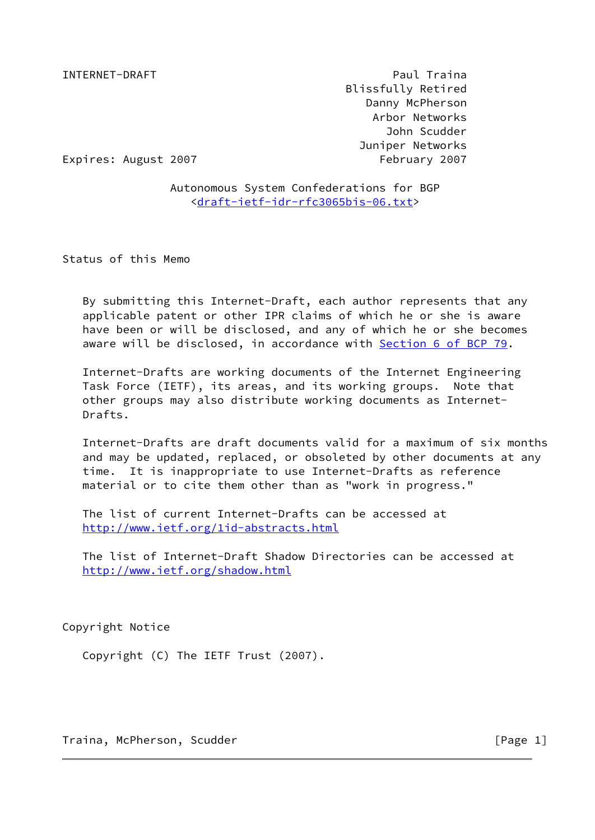INTERNET-DRAFT PAUL Traina Blissfully Retired Danny McPherson Arbor Networks John Scudder Juniper Networks

Expires: August 2007 Tebruary 2007

 Autonomous System Confederations for BGP [<draft-ietf-idr-rfc3065bis-06.txt](https://datatracker.ietf.org/doc/pdf/draft-ietf-idr-rfc3065bis-06.txt)>

Status of this Memo

 By submitting this Internet-Draft, each author represents that any applicable patent or other IPR claims of which he or she is aware have been or will be disclosed, and any of which he or she becomes aware will be disclosed, in accordance with Section [6 of BCP 79.](https://datatracker.ietf.org/doc/pdf/bcp79#section-6)

 Internet-Drafts are working documents of the Internet Engineering Task Force (IETF), its areas, and its working groups. Note that other groups may also distribute working documents as Internet- Drafts.

 Internet-Drafts are draft documents valid for a maximum of six months and may be updated, replaced, or obsoleted by other documents at any time. It is inappropriate to use Internet-Drafts as reference material or to cite them other than as "work in progress."

 The list of current Internet-Drafts can be accessed at <http://www.ietf.org/1id-abstracts.html>

 The list of Internet-Draft Shadow Directories can be accessed at <http://www.ietf.org/shadow.html>

Copyright Notice

Copyright (C) The IETF Trust (2007).

Traina, McPherson, Scudder [Page 1]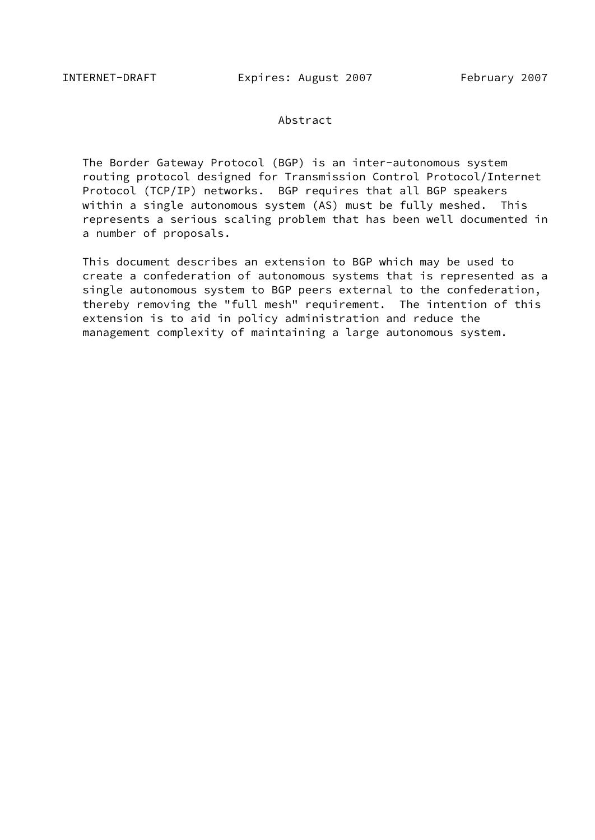#### Abstract

 The Border Gateway Protocol (BGP) is an inter-autonomous system routing protocol designed for Transmission Control Protocol/Internet Protocol (TCP/IP) networks. BGP requires that all BGP speakers within a single autonomous system (AS) must be fully meshed. This represents a serious scaling problem that has been well documented in a number of proposals.

 This document describes an extension to BGP which may be used to create a confederation of autonomous systems that is represented as a single autonomous system to BGP peers external to the confederation, thereby removing the "full mesh" requirement. The intention of this extension is to aid in policy administration and reduce the management complexity of maintaining a large autonomous system.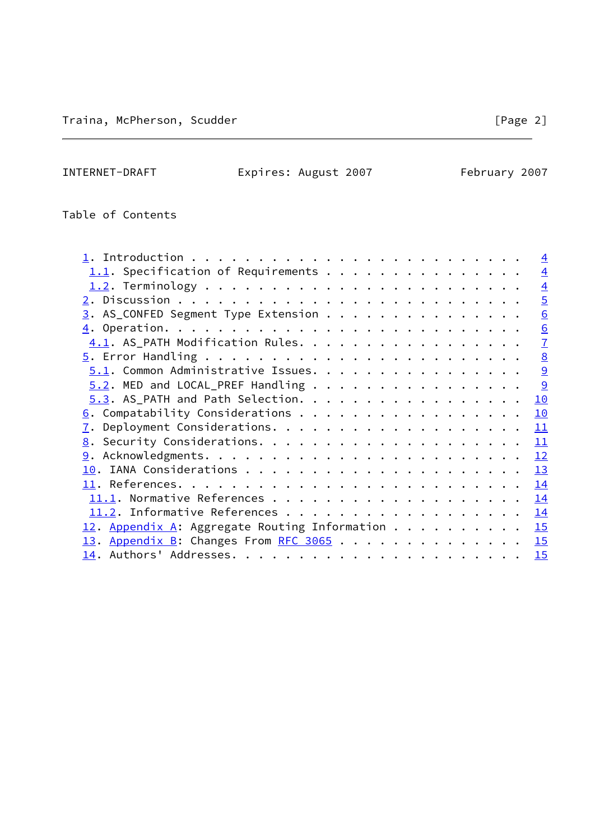Table of Contents

|                                                    | $\overline{4}$ |
|----------------------------------------------------|----------------|
| $1.1$ . Specification of Requirements              | $\overline{4}$ |
|                                                    | $\overline{4}$ |
|                                                    | $\overline{5}$ |
| $\underline{3}$ . AS_CONFED Segment Type Extension | 6              |
|                                                    | 6              |
| 4.1. AS_PATH Modification Rules.                   | $\overline{1}$ |
|                                                    | 8              |
| 5.1. Common Administrative Issues.                 | 9              |
| $5.2$ . MED and LOCAL_PREF Handling                | 9              |
| $5.3.$ AS_PATH and Path Selection.                 | 10             |
|                                                    | 10             |
|                                                    | <u> 11</u>     |
|                                                    | 11             |
|                                                    | 12             |
|                                                    | 13             |
|                                                    | 14             |
|                                                    | 14             |
|                                                    | 14             |
| 12. Appendix A: Aggregate Routing Information      | 15             |
| 13. Appendix B: Changes From RFC 3065              | 15             |
|                                                    | 15             |
|                                                    |                |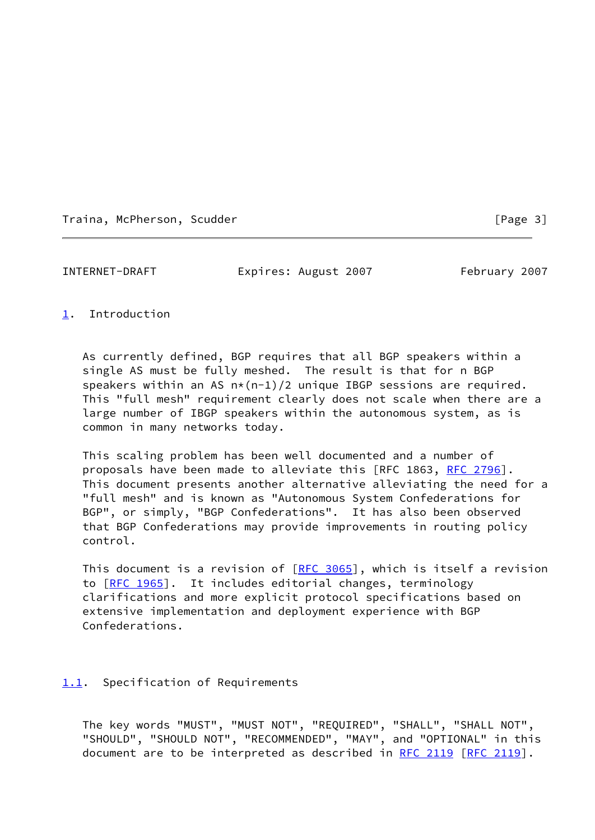<span id="page-3-1"></span>

# <span id="page-3-0"></span>[1](#page-3-0). Introduction

 As currently defined, BGP requires that all BGP speakers within a single AS must be fully meshed. The result is that for n BGP speakers within an AS  $n*(n-1)/2$  unique IBGP sessions are required. This "full mesh" requirement clearly does not scale when there are a large number of IBGP speakers within the autonomous system, as is common in many networks today.

 This scaling problem has been well documented and a number of proposals have been made to alleviate this [RFC 1863, [RFC 2796](https://datatracker.ietf.org/doc/pdf/rfc2796)]. This document presents another alternative alleviating the need for a "full mesh" and is known as "Autonomous System Confederations for BGP", or simply, "BGP Confederations". It has also been observed that BGP Confederations may provide improvements in routing policy control.

This document is a revision of  $[RFC 3065]$  $[RFC 3065]$ , which is itself a revision to [[RFC 1965\]](https://datatracker.ietf.org/doc/pdf/rfc1965). It includes editorial changes, terminology clarifications and more explicit protocol specifications based on extensive implementation and deployment experience with BGP Confederations.

# <span id="page-3-2"></span>[1.1](#page-3-2). Specification of Requirements

 The key words "MUST", "MUST NOT", "REQUIRED", "SHALL", "SHALL NOT", "SHOULD", "SHOULD NOT", "RECOMMENDED", "MAY", and "OPTIONAL" in this document are to be interpreted as described in [RFC 2119 \[RFC 2119](https://datatracker.ietf.org/doc/pdf/rfc2119)].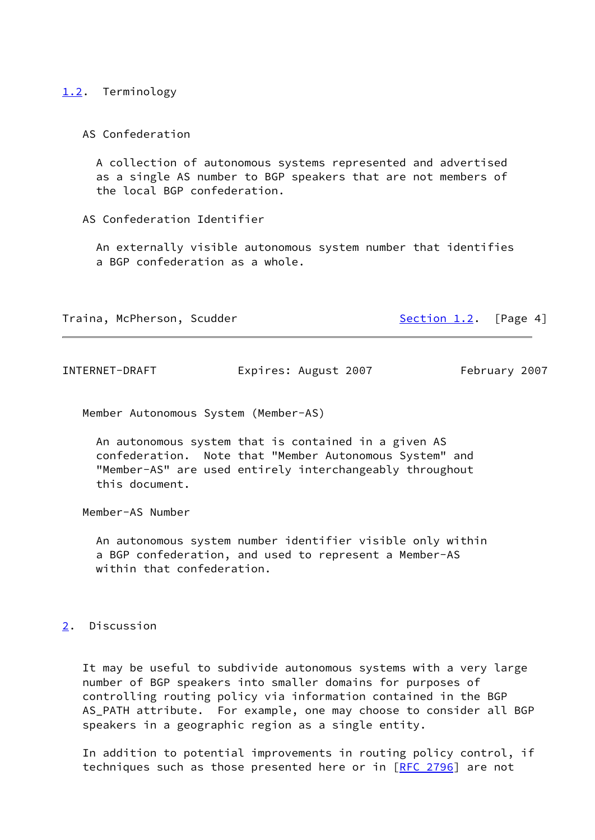#### <span id="page-4-0"></span>[1.2](#page-4-0). Terminology

#### AS Confederation

 A collection of autonomous systems represented and advertised as a single AS number to BGP speakers that are not members of the local BGP confederation.

#### AS Confederation Identifier

 An externally visible autonomous system number that identifies a BGP confederation as a whole.

Traina, McPherson, Scudder [Section 1.2](#page-4-0). [Page 4]

<span id="page-4-2"></span>INTERNET-DRAFT Expires: August 2007 February 2007

Member Autonomous System (Member-AS)

 An autonomous system that is contained in a given AS confederation. Note that "Member Autonomous System" and "Member-AS" are used entirely interchangeably throughout this document.

Member-AS Number

 An autonomous system number identifier visible only within a BGP confederation, and used to represent a Member-AS within that confederation.

#### <span id="page-4-1"></span>[2](#page-4-1). Discussion

 It may be useful to subdivide autonomous systems with a very large number of BGP speakers into smaller domains for purposes of controlling routing policy via information contained in the BGP AS\_PATH attribute. For example, one may choose to consider all BGP speakers in a geographic region as a single entity.

 In addition to potential improvements in routing policy control, if techniques such as those presented here or in [[RFC 2796\]](https://datatracker.ietf.org/doc/pdf/rfc2796) are not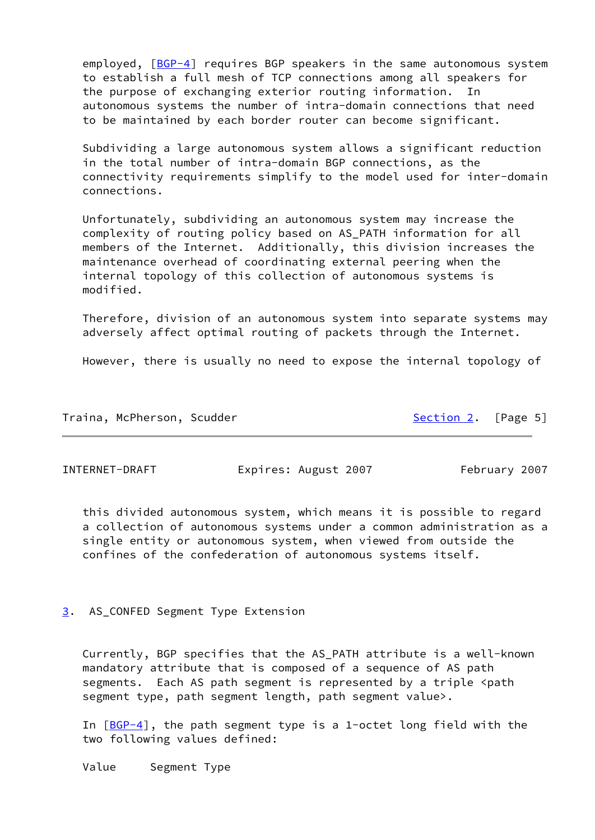employed,  $[BGP-4]$  $[BGP-4]$  requires BGP speakers in the same autonomous system to establish a full mesh of TCP connections among all speakers for the purpose of exchanging exterior routing information. In autonomous systems the number of intra-domain connections that need to be maintained by each border router can become significant.

 Subdividing a large autonomous system allows a significant reduction in the total number of intra-domain BGP connections, as the connectivity requirements simplify to the model used for inter-domain connections.

 Unfortunately, subdividing an autonomous system may increase the complexity of routing policy based on AS\_PATH information for all members of the Internet. Additionally, this division increases the maintenance overhead of coordinating external peering when the internal topology of this collection of autonomous systems is modified.

 Therefore, division of an autonomous system into separate systems may adversely affect optimal routing of packets through the Internet.

However, there is usually no need to expose the internal topology of

| Traina, McPherson, Scudder | Section 2. [Page 5] |  |
|----------------------------|---------------------|--|
|                            |                     |  |

<span id="page-5-1"></span>INTERNET-DRAFT Expires: August 2007 February 2007

 this divided autonomous system, which means it is possible to regard a collection of autonomous systems under a common administration as a single entity or autonomous system, when viewed from outside the confines of the confederation of autonomous systems itself.

<span id="page-5-0"></span>[3](#page-5-0). AS\_CONFED Segment Type Extension

 Currently, BGP specifies that the AS\_PATH attribute is a well-known mandatory attribute that is composed of a sequence of AS path segments. Each AS path segment is represented by a triple <path segment type, path segment length, path segment value>.

In  $[BGP-4]$  $[BGP-4]$ , the path segment type is a 1-octet long field with the two following values defined:

Value Segment Type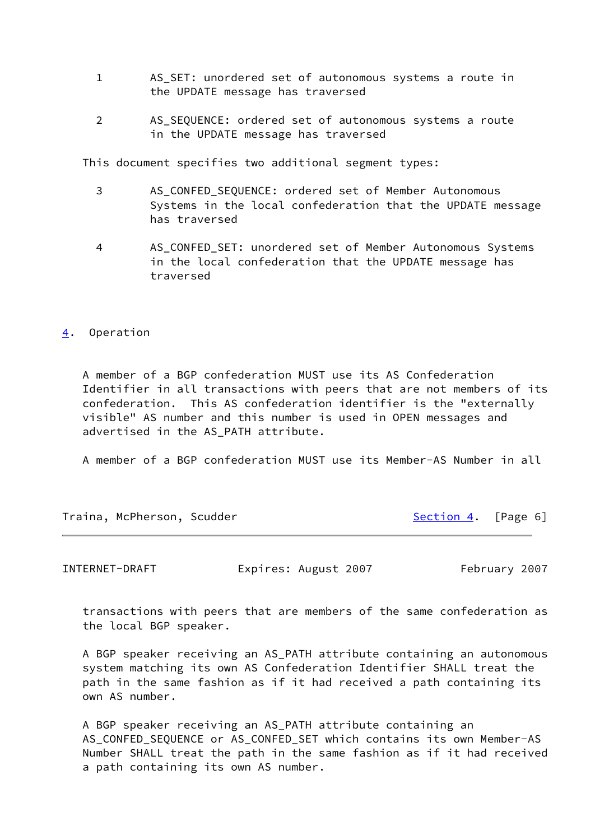- 1 AS\_SET: unordered set of autonomous systems a route in the UPDATE message has traversed
- 2 AS\_SEQUENCE: ordered set of autonomous systems a route in the UPDATE message has traversed

This document specifies two additional segment types:

- 3 AS\_CONFED\_SEQUENCE: ordered set of Member Autonomous Systems in the local confederation that the UPDATE message has traversed
- 4 AS\_CONFED\_SET: unordered set of Member Autonomous Systems in the local confederation that the UPDATE message has traversed

## <span id="page-6-0"></span>[4](#page-6-0). Operation

 A member of a BGP confederation MUST use its AS Confederation Identifier in all transactions with peers that are not members of its confederation. This AS confederation identifier is the "externally visible" AS number and this number is used in OPEN messages and advertised in the AS PATH attribute.

A member of a BGP confederation MUST use its Member-AS Number in all

| Traina, McPherson, Scudder | Section 4. [Page 6] |  |
|----------------------------|---------------------|--|
|                            |                     |  |

<span id="page-6-1"></span>INTERNET-DRAFT Expires: August 2007 February 2007

 transactions with peers that are members of the same confederation as the local BGP speaker.

 A BGP speaker receiving an AS\_PATH attribute containing an autonomous system matching its own AS Confederation Identifier SHALL treat the path in the same fashion as if it had received a path containing its own AS number.

 A BGP speaker receiving an AS\_PATH attribute containing an AS\_CONFED\_SEQUENCE or AS\_CONFED\_SET which contains its own Member-AS Number SHALL treat the path in the same fashion as if it had received a path containing its own AS number.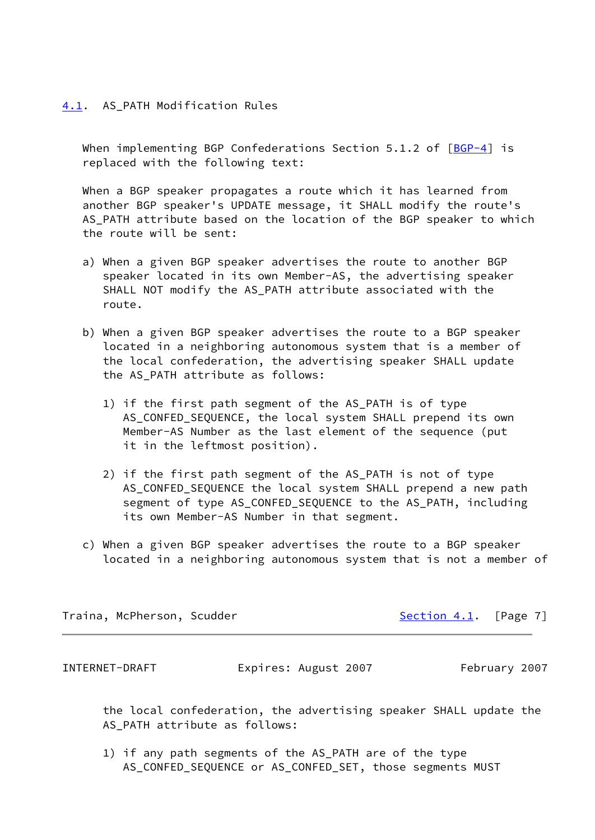#### <span id="page-7-0"></span>[4.1](#page-7-0). AS PATH Modification Rules

When implementing BGP Confederations Section 5.1.2 of  $[BGP-4]$  $[BGP-4]$  is replaced with the following text:

 When a BGP speaker propagates a route which it has learned from another BGP speaker's UPDATE message, it SHALL modify the route's AS\_PATH attribute based on the location of the BGP speaker to which the route will be sent:

- a) When a given BGP speaker advertises the route to another BGP speaker located in its own Member-AS, the advertising speaker SHALL NOT modify the AS\_PATH attribute associated with the route.
- b) When a given BGP speaker advertises the route to a BGP speaker located in a neighboring autonomous system that is a member of the local confederation, the advertising speaker SHALL update the AS PATH attribute as follows:
	- 1) if the first path segment of the AS\_PATH is of type AS\_CONFED\_SEQUENCE, the local system SHALL prepend its own Member-AS Number as the last element of the sequence (put it in the leftmost position).
	- 2) if the first path segment of the AS\_PATH is not of type AS\_CONFED\_SEQUENCE the local system SHALL prepend a new path segment of type AS\_CONFED\_SEQUENCE to the AS\_PATH, including its own Member-AS Number in that segment.
- c) When a given BGP speaker advertises the route to a BGP speaker located in a neighboring autonomous system that is not a member of

Traina, McPherson, Scudder [Section 4.1](#page-7-0). [Page 7]

<span id="page-7-1"></span>INTERNET-DRAFT Expires: August 2007 February 2007

 the local confederation, the advertising speaker SHALL update the AS PATH attribute as follows:

 1) if any path segments of the AS\_PATH are of the type AS\_CONFED\_SEQUENCE or AS\_CONFED\_SET, those segments MUST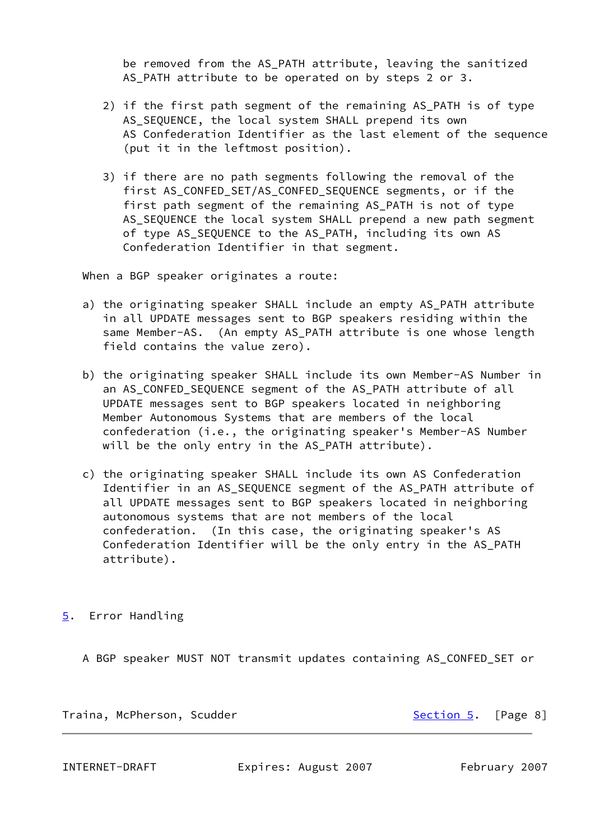be removed from the AS PATH attribute, leaving the sanitized AS\_PATH attribute to be operated on by steps 2 or 3.

- 2) if the first path segment of the remaining AS\_PATH is of type AS SEQUENCE, the local system SHALL prepend its own AS Confederation Identifier as the last element of the sequence (put it in the leftmost position).
- 3) if there are no path segments following the removal of the first AS\_CONFED\_SET/AS\_CONFED\_SEQUENCE segments, or if the first path segment of the remaining AS\_PATH is not of type AS SEQUENCE the local system SHALL prepend a new path segment of type AS\_SEQUENCE to the AS\_PATH, including its own AS Confederation Identifier in that segment.

When a BGP speaker originates a route:

- a) the originating speaker SHALL include an empty AS\_PATH attribute in all UPDATE messages sent to BGP speakers residing within the same Member-AS. (An empty AS\_PATH attribute is one whose length field contains the value zero).
- b) the originating speaker SHALL include its own Member-AS Number in an AS\_CONFED\_SEQUENCE segment of the AS\_PATH attribute of all UPDATE messages sent to BGP speakers located in neighboring Member Autonomous Systems that are members of the local confederation (i.e., the originating speaker's Member-AS Number will be the only entry in the AS\_PATH attribute).
- c) the originating speaker SHALL include its own AS Confederation Identifier in an AS\_SEQUENCE segment of the AS\_PATH attribute of all UPDATE messages sent to BGP speakers located in neighboring autonomous systems that are not members of the local confederation. (In this case, the originating speaker's AS Confederation Identifier will be the only entry in the AS\_PATH attribute).

<span id="page-8-0"></span>[5](#page-8-0). Error Handling

A BGP speaker MUST NOT transmit updates containing AS\_CONFED\_SET or

Traina, McPherson, Scudder [Section 5](#page-8-0). [Page 8]

<span id="page-8-1"></span>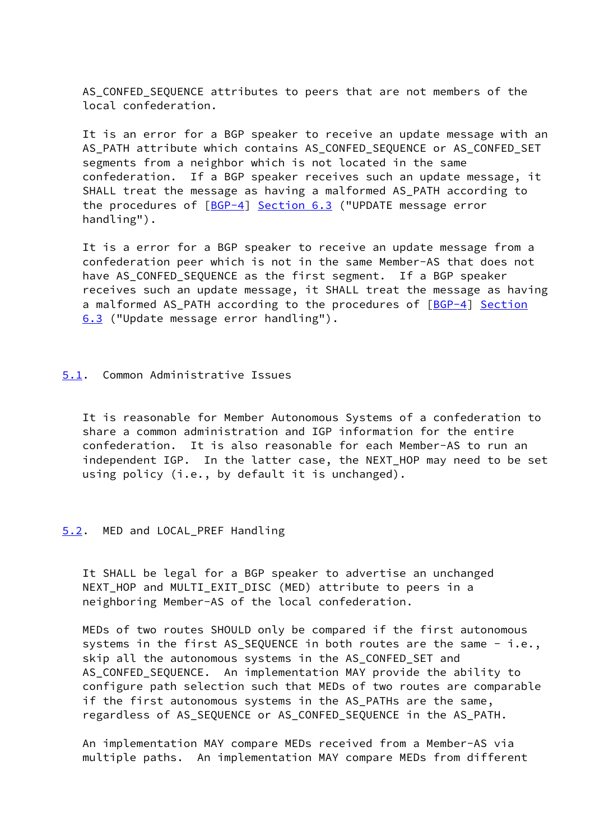AS CONFED SEQUENCE attributes to peers that are not members of the local confederation.

 It is an error for a BGP speaker to receive an update message with an AS PATH attribute which contains AS CONFED SEQUENCE or AS CONFED SET segments from a neighbor which is not located in the same confederation. If a BGP speaker receives such an update message, it SHALL treat the message as having a malformed AS\_PATH according to the procedures of [[BGP-4\]](#page-14-3) Section 6.3 ("UPDATE message error handling").

 It is a error for a BGP speaker to receive an update message from a confederation peer which is not in the same Member-AS that does not have AS CONFED SEQUENCE as the first segment. If a BGP speaker receives such an update message, it SHALL treat the message as having a malformed AS\_PATH according to the procedures of [[BGP-4\]](#page-14-3) Section 6.3 ("Update message error handling").

#### <span id="page-9-0"></span>[5.1](#page-9-0). Common Administrative Issues

 It is reasonable for Member Autonomous Systems of a confederation to share a common administration and IGP information for the entire confederation. It is also reasonable for each Member-AS to run an independent IGP. In the latter case, the NEXT\_HOP may need to be set using policy (i.e., by default it is unchanged).

## <span id="page-9-1"></span>[5.2](#page-9-1). MED and LOCAL\_PREF Handling

 It SHALL be legal for a BGP speaker to advertise an unchanged NEXT\_HOP and MULTI\_EXIT\_DISC (MED) attribute to peers in a neighboring Member-AS of the local confederation.

 MEDs of two routes SHOULD only be compared if the first autonomous systems in the first AS\_SEQUENCE in both routes are the same - i.e., skip all the autonomous systems in the AS\_CONFED\_SET and AS\_CONFED\_SEQUENCE. An implementation MAY provide the ability to configure path selection such that MEDs of two routes are comparable if the first autonomous systems in the AS\_PATHs are the same, regardless of AS\_SEQUENCE or AS\_CONFED\_SEQUENCE in the AS\_PATH.

 An implementation MAY compare MEDs received from a Member-AS via multiple paths. An implementation MAY compare MEDs from different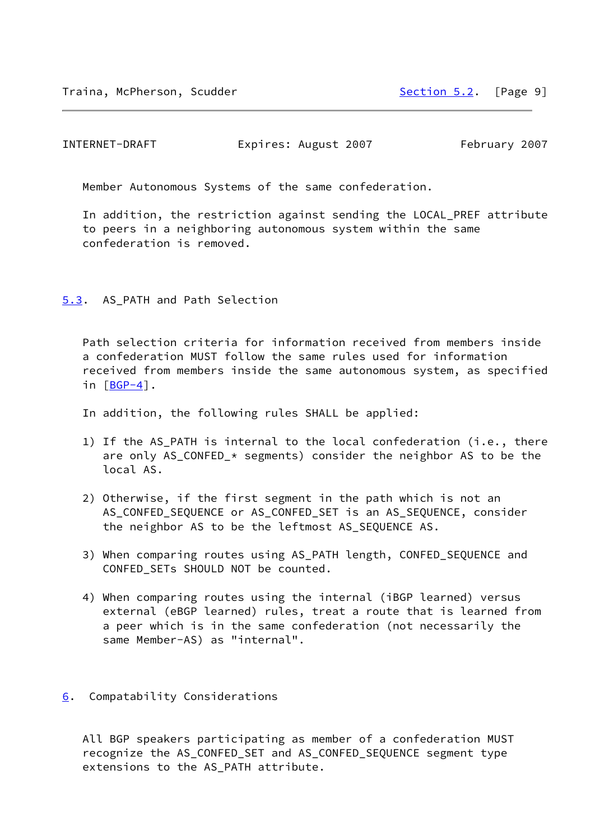<span id="page-10-1"></span>Member Autonomous Systems of the same confederation.

 In addition, the restriction against sending the LOCAL\_PREF attribute to peers in a neighboring autonomous system within the same confederation is removed.

## <span id="page-10-0"></span>[5.3](#page-10-0). AS\_PATH and Path Selection

 Path selection criteria for information received from members inside a confederation MUST follow the same rules used for information received from members inside the same autonomous system, as specified in [[BGP-4\]](#page-14-3).

In addition, the following rules SHALL be applied:

- 1) If the AS\_PATH is internal to the local confederation (i.e., there are only AS\_CONFED\_\* segments) consider the neighbor AS to be the local AS.
- 2) Otherwise, if the first segment in the path which is not an AS\_CONFED\_SEQUENCE or AS\_CONFED\_SET is an AS\_SEQUENCE, consider the neighbor AS to be the leftmost AS\_SEQUENCE AS.
- 3) When comparing routes using AS\_PATH length, CONFED\_SEQUENCE and CONFED\_SETs SHOULD NOT be counted.
- 4) When comparing routes using the internal (iBGP learned) versus external (eBGP learned) rules, treat a route that is learned from a peer which is in the same confederation (not necessarily the same Member-AS) as "internal".

#### <span id="page-10-2"></span>[6](#page-10-2). Compatability Considerations

 All BGP speakers participating as member of a confederation MUST recognize the AS\_CONFED\_SET and AS\_CONFED\_SEQUENCE segment type extensions to the AS\_PATH attribute.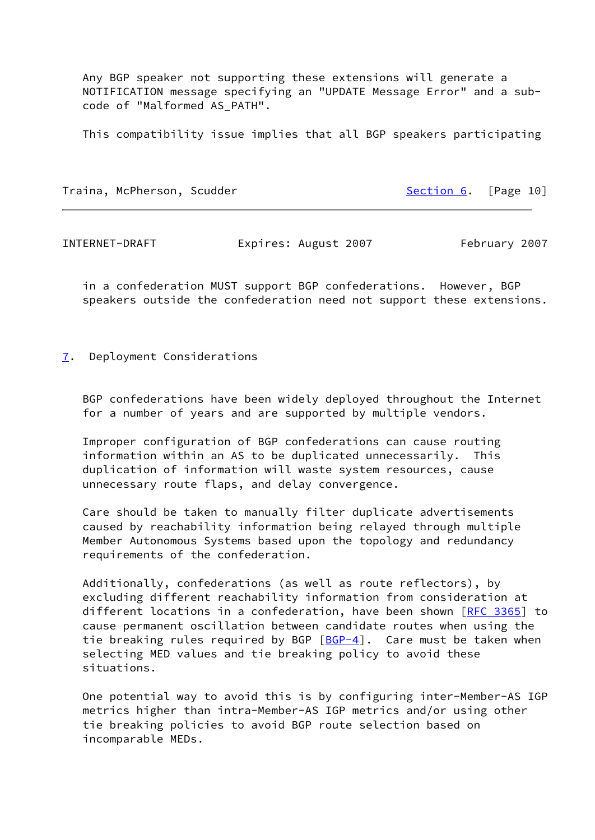Any BGP speaker not supporting these extensions will generate a NOTIFICATION message specifying an "UPDATE Message Error" and a sub code of "Malformed AS\_PATH".

This compatibility issue implies that all BGP speakers participating

Traina, McPherson, Scudder [Section 6](#page-10-2). [Page 10]

<span id="page-11-1"></span>INTERNET-DRAFT Expires: August 2007 February 2007

 in a confederation MUST support BGP confederations. However, BGP speakers outside the confederation need not support these extensions.

<span id="page-11-0"></span>[7](#page-11-0). Deployment Considerations

 BGP confederations have been widely deployed throughout the Internet for a number of years and are supported by multiple vendors.

 Improper configuration of BGP confederations can cause routing information within an AS to be duplicated unnecessarily. This duplication of information will waste system resources, cause unnecessary route flaps, and delay convergence.

 Care should be taken to manually filter duplicate advertisements caused by reachability information being relayed through multiple Member Autonomous Systems based upon the topology and redundancy requirements of the confederation.

 Additionally, confederations (as well as route reflectors), by excluding different reachability information from consideration at different locations in a confederation, have been shown [\[RFC 3365](https://datatracker.ietf.org/doc/pdf/rfc3365)] to cause permanent oscillation between candidate routes when using the tie breaking rules required by BGP  $[BGP-4]$  $[BGP-4]$ . Care must be taken when selecting MED values and tie breaking policy to avoid these situations.

 One potential way to avoid this is by configuring inter-Member-AS IGP metrics higher than intra-Member-AS IGP metrics and/or using other tie breaking policies to avoid BGP route selection based on incomparable MEDs.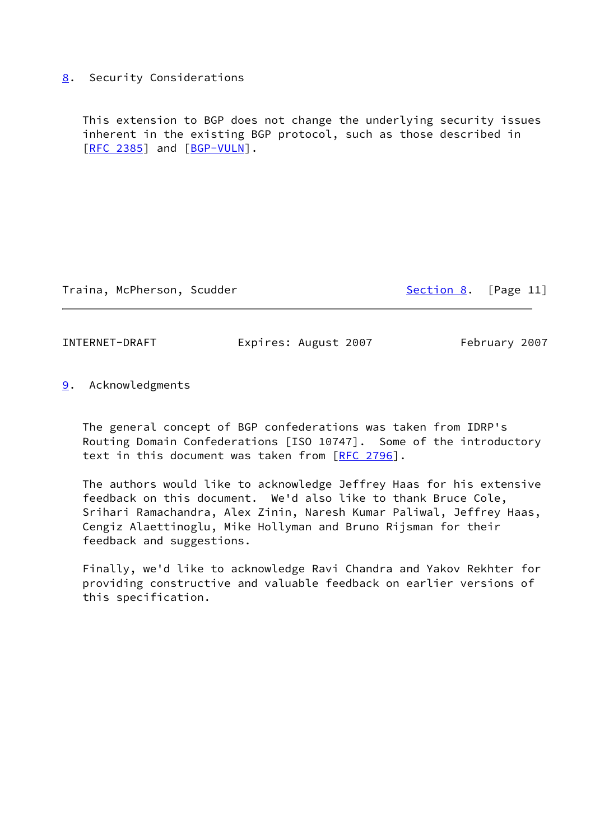## <span id="page-12-0"></span>[8](#page-12-0). Security Considerations

 This extension to BGP does not change the underlying security issues inherent in the existing BGP protocol, such as those described in [\[RFC 2385](https://datatracker.ietf.org/doc/pdf/rfc2385)] and [\[BGP-VULN](#page-15-3)].

Traina, McPherson, Scudder [Section 8](#page-12-0). [Page 11]

<span id="page-12-2"></span>INTERNET-DRAFT Expires: August 2007 February 2007

<span id="page-12-1"></span>[9](#page-12-1). Acknowledgments

 The general concept of BGP confederations was taken from IDRP's Routing Domain Confederations [ISO 10747]. Some of the introductory text in this document was taken from [\[RFC 2796](https://datatracker.ietf.org/doc/pdf/rfc2796)].

 The authors would like to acknowledge Jeffrey Haas for his extensive feedback on this document. We'd also like to thank Bruce Cole, Srihari Ramachandra, Alex Zinin, Naresh Kumar Paliwal, Jeffrey Haas, Cengiz Alaettinoglu, Mike Hollyman and Bruno Rijsman for their feedback and suggestions.

 Finally, we'd like to acknowledge Ravi Chandra and Yakov Rekhter for providing constructive and valuable feedback on earlier versions of this specification.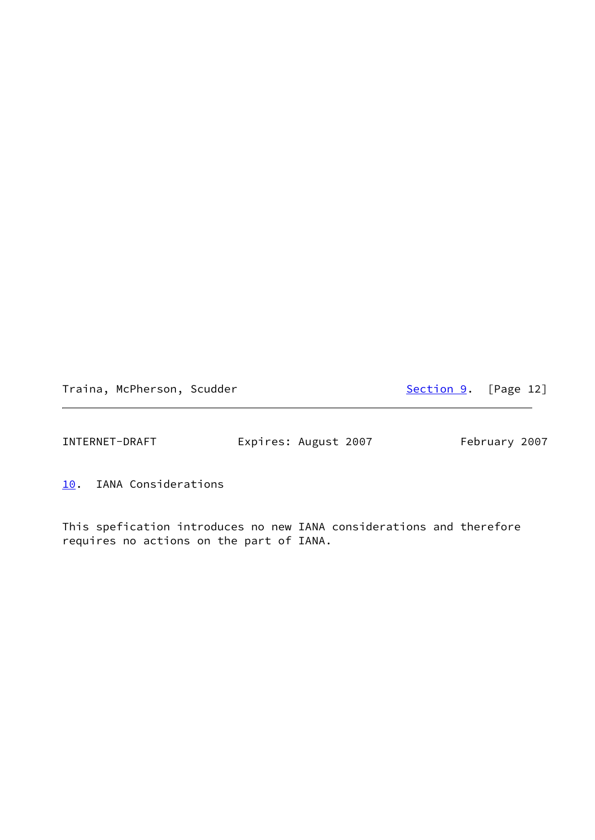Traina, McPherson, Scudder [Section 9](#page-12-1). [Page 12]

<span id="page-13-1"></span>INTERNET-DRAFT Expires: August 2007 February 2007

<span id="page-13-0"></span>[10.](#page-13-0) IANA Considerations

This spefication introduces no new IANA considerations and therefore requires no actions on the part of IANA.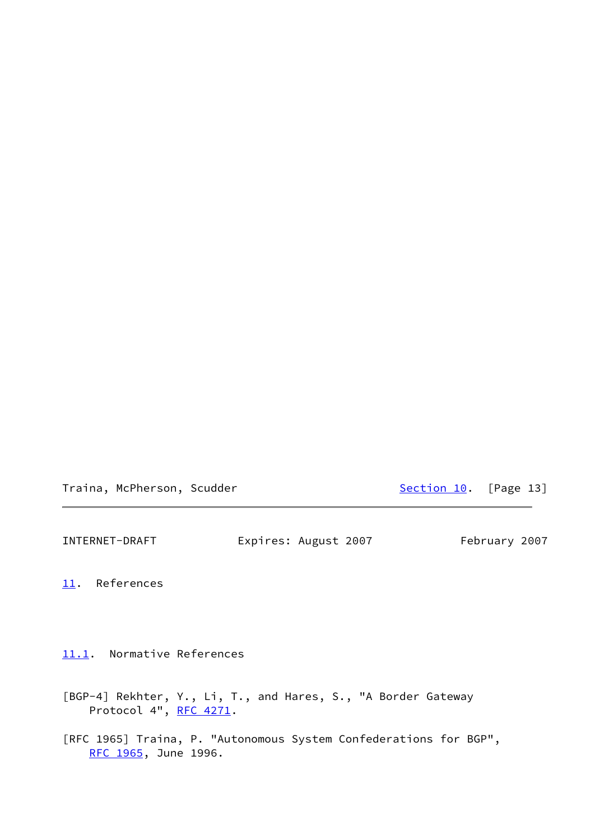Traina, McPherson, Scudder [Section 10.](#page-13-0) [Page 13]

<span id="page-14-1"></span>INTERNET-DRAFT Expires: August 2007 February 2007

<span id="page-14-0"></span>[11.](#page-14-0) References

<span id="page-14-2"></span>[11.1](#page-14-2). Normative References

<span id="page-14-3"></span>[BGP-4] Rekhter, Y., Li, T., and Hares, S., "A Border Gateway Protocol 4", [RFC 4271](https://datatracker.ietf.org/doc/pdf/rfc4271).

[RFC 1965] Traina, P. "Autonomous System Confederations for BGP", [RFC 1965](https://datatracker.ietf.org/doc/pdf/rfc1965), June 1996.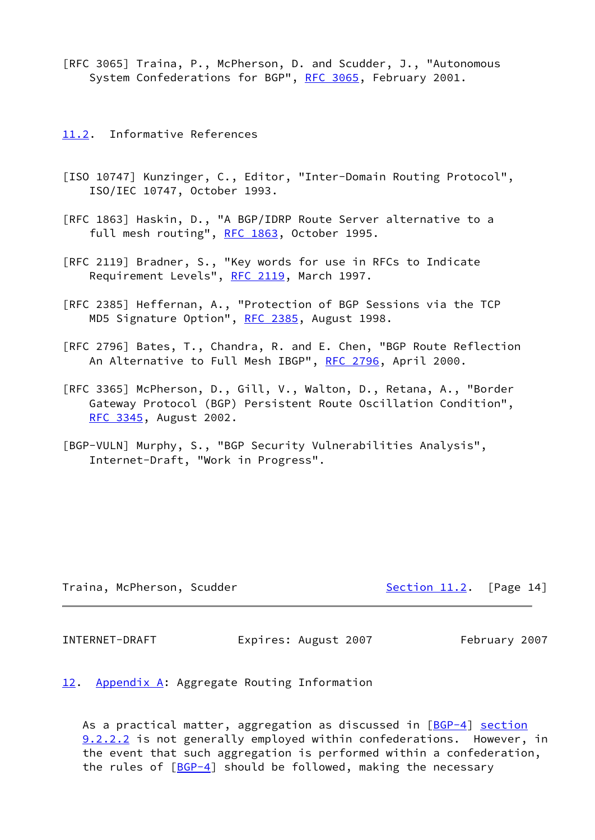[RFC 3065] Traina, P., McPherson, D. and Scudder, J., "Autonomous System Confederations for BGP", [RFC 3065](https://datatracker.ietf.org/doc/pdf/rfc3065), February 2001.

<span id="page-15-0"></span>[11.2](#page-15-0). Informative References

- [ISO 10747] Kunzinger, C., Editor, "Inter-Domain Routing Protocol", ISO/IEC 10747, October 1993.
- [RFC 1863] Haskin, D., "A BGP/IDRP Route Server alternative to a full mesh routing", [RFC 1863](https://datatracker.ietf.org/doc/pdf/rfc1863), October 1995.
- [RFC 2119] Bradner, S., "Key words for use in RFCs to Indicate Requirement Levels", [RFC 2119](https://datatracker.ietf.org/doc/pdf/rfc2119), March 1997.
- [RFC 2385] Heffernan, A., "Protection of BGP Sessions via the TCP MD5 Signature Option", [RFC 2385](https://datatracker.ietf.org/doc/pdf/rfc2385), August 1998.
- [RFC 2796] Bates, T., Chandra, R. and E. Chen, "BGP Route Reflection An Alternative to Full Mesh IBGP", [RFC 2796,](https://datatracker.ietf.org/doc/pdf/rfc2796) April 2000.
- [RFC 3365] McPherson, D., Gill, V., Walton, D., Retana, A., "Border Gateway Protocol (BGP) Persistent Route Oscillation Condition", [RFC 3345](https://datatracker.ietf.org/doc/pdf/rfc3345), August 2002.
- <span id="page-15-3"></span>[BGP-VULN] Murphy, S., "BGP Security Vulnerabilities Analysis", Internet-Draft, "Work in Progress".

Traina, McPherson, Scudder [Section 11.2](#page-15-0). [Page 14]

<span id="page-15-2"></span>INTERNET-DRAFT Expires: August 2007 February 2007

<span id="page-15-1"></span>[12.](#page-15-1) Appendix A: Aggregate Routing Information

As a practical matter, aggregation as discussed in  $[BGP-4]$  $[BGP-4]$  section 9.2.2.2 is not generally employed within confederations. However, in the event that such aggregation is performed within a confederation, the rules of  $[BGP-4]$  should be followed, making the necessary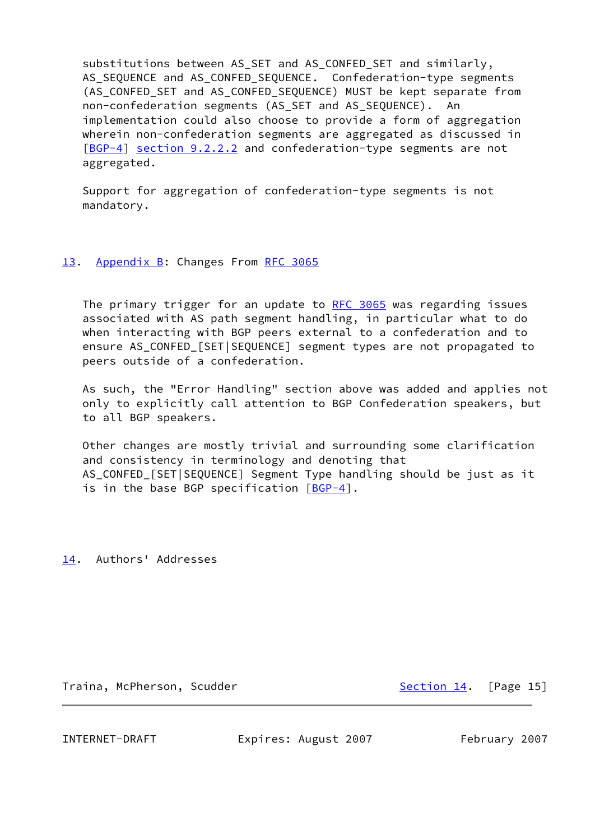substitutions between AS\_SET and AS\_CONFED\_SET and similarly, AS\_SEQUENCE and AS\_CONFED\_SEQUENCE. Confederation-type segments (AS CONFED SET and AS CONFED SEQUENCE) MUST be kept separate from non-confederation segments (AS\_SET and AS\_SEQUENCE). An implementation could also choose to provide a form of aggregation wherein non-confederation segments are aggregated as discussed in [\[BGP-4](#page-14-3)] section 9.2.2.2 and confederation-type segments are not aggregated.

 Support for aggregation of confederation-type segments is not mandatory.

## <span id="page-16-0"></span>[13.](#page-16-0) Appendix B: Changes From [RFC 3065](https://datatracker.ietf.org/doc/pdf/rfc3065)

The primary trigger for an update to [RFC 3065](https://datatracker.ietf.org/doc/pdf/rfc3065) was regarding issues associated with AS path segment handling, in particular what to do when interacting with BGP peers external to a confederation and to ensure AS\_CONFED\_[SET|SEQUENCE] segment types are not propagated to peers outside of a confederation.

 As such, the "Error Handling" section above was added and applies not only to explicitly call attention to BGP Confederation speakers, but to all BGP speakers.

 Other changes are mostly trivial and surrounding some clarification and consistency in terminology and denoting that AS\_CONFED\_[SET|SEQUENCE] Segment Type handling should be just as it is in the base BGP specification  $[BGP-4]$ .

<span id="page-16-1"></span>[14.](#page-16-1) Authors' Addresses

Traina, McPherson, Scudder [Section 14.](#page-16-1) [Page 15]

INTERNET-DRAFT Expires: August 2007 February 2007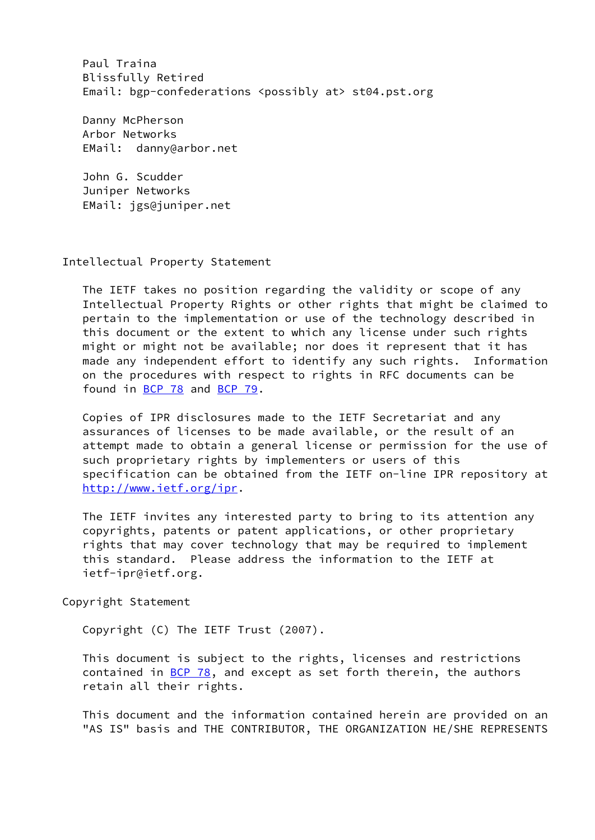Paul Traina Blissfully Retired Email: bgp-confederations <possibly at> st04.pst.org

 Danny McPherson Arbor Networks EMail: danny@arbor.net

 John G. Scudder Juniper Networks EMail: jgs@juniper.net

#### Intellectual Property Statement

 The IETF takes no position regarding the validity or scope of any Intellectual Property Rights or other rights that might be claimed to pertain to the implementation or use of the technology described in this document or the extent to which any license under such rights might or might not be available; nor does it represent that it has made any independent effort to identify any such rights. Information on the procedures with respect to rights in RFC documents can be found in [BCP 78](https://datatracker.ietf.org/doc/pdf/bcp78) and [BCP 79](https://datatracker.ietf.org/doc/pdf/bcp79).

 Copies of IPR disclosures made to the IETF Secretariat and any assurances of licenses to be made available, or the result of an attempt made to obtain a general license or permission for the use of such proprietary rights by implementers or users of this specification can be obtained from the IETF on-line IPR repository at <http://www.ietf.org/ipr>.

 The IETF invites any interested party to bring to its attention any copyrights, patents or patent applications, or other proprietary rights that may cover technology that may be required to implement this standard. Please address the information to the IETF at ietf-ipr@ietf.org.

Copyright Statement

Copyright (C) The IETF Trust (2007).

 This document is subject to the rights, licenses and restrictions contained in  $\underline{BCP}$  78, and except as set forth therein, the authors retain all their rights.

 This document and the information contained herein are provided on an "AS IS" basis and THE CONTRIBUTOR, THE ORGANIZATION HE/SHE REPRESENTS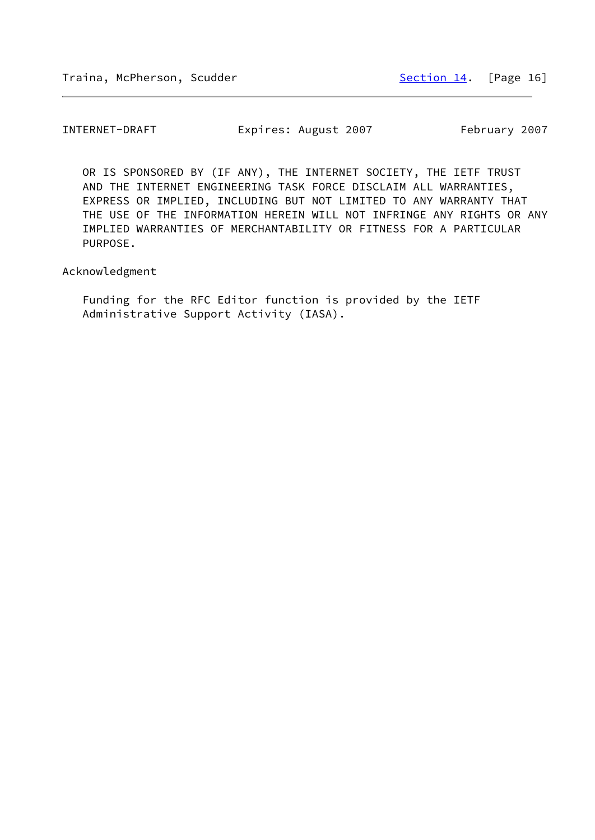OR IS SPONSORED BY (IF ANY), THE INTERNET SOCIETY, THE IETF TRUST AND THE INTERNET ENGINEERING TASK FORCE DISCLAIM ALL WARRANTIES, EXPRESS OR IMPLIED, INCLUDING BUT NOT LIMITED TO ANY WARRANTY THAT THE USE OF THE INFORMATION HEREIN WILL NOT INFRINGE ANY RIGHTS OR ANY IMPLIED WARRANTIES OF MERCHANTABILITY OR FITNESS FOR A PARTICULAR PURPOSE.

Acknowledgment

 Funding for the RFC Editor function is provided by the IETF Administrative Support Activity (IASA).